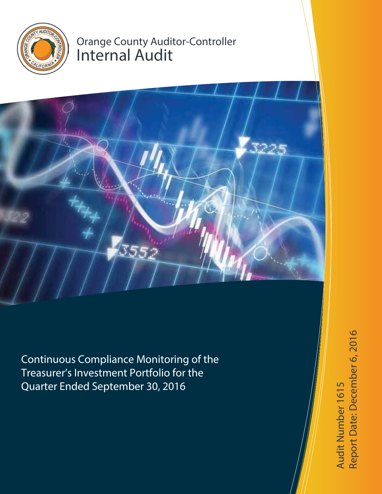

## Orange County Auditor-Controller Internal Audit



Continuous Compliance Monitoring of the Treasurer's Investment Portfolio for the Quarter Ended September 30, 2016

Report Date: December 6, 2016 Report Date: December 6, 2016Audit Number 1615 Audit Number 1615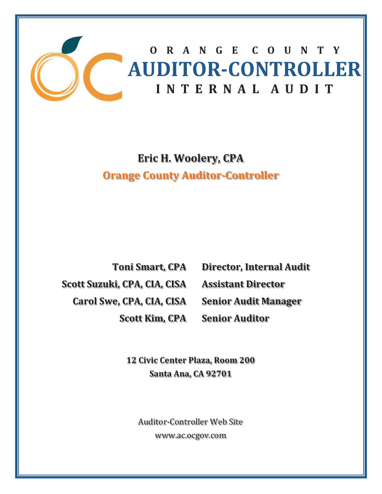

**ORANGECOUNTY AUDITORǦCONTROLLER INTERNALAUDIT**

## **Eric H. Woolery, CPA Orange County AuditorǦController**

**Toni Smart, CPA Scott Suzuki, CPA, CIA, CISA Carol Swe, CPA, CIA, CISA Scott Kim, CPA**

**Director, Internal Audit Assistant Director Senior Audit Manager**

**Senior Auditor**

**12 Civic Center Plaza, Room 200 Santa Ana, CA 92701**

**Auditor-Controller Web Site** www.ac.ocgov.com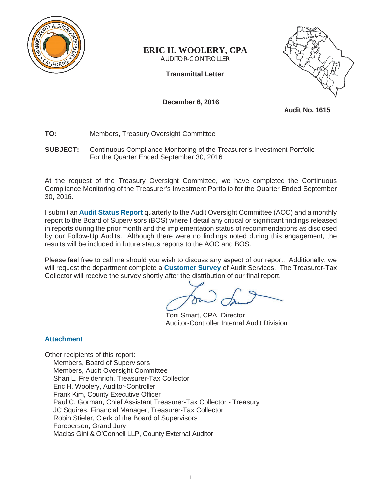

## **ERIC H. WOOLERY, CPA**

AUDITOR-CONTROLLER

**Transmittal Letter** 



**December 6, 2016** 

**Audit No. 1615** 

- **TO:** Members, Treasury Oversight Committee
- **SUBJECT:** Continuous Compliance Monitoring of the Treasurer's Investment Portfolio For the Quarter Ended September 30, 2016

At the request of the Treasury Oversight Committee, we have completed the Continuous Compliance Monitoring of the Treasurer's Investment Portfolio for the Quarter Ended September 30, 2016.

I submit an **Audit Status Report** quarterly to the Audit Oversight Committee (AOC) and a monthly report to the Board of Supervisors (BOS) where I detail any critical or significant findings released in reports during the prior month and the implementation status of recommendations as disclosed by our Follow-Up Audits. Although there were no findings noted during this engagement, the results will be included in future status reports to the AOC and BOS.

Please feel free to call me should you wish to discuss any aspect of our report. Additionally, we will request the department complete a **Customer Survey** of Audit Services. The Treasurer-Tax Collector will receive the survey shortly after the distribution of our final report.

Toni Smart, CPA, Director Auditor-Controller Internal Audit Division

## **Attachment**

Other recipients of this report: Members, Board of Supervisors Members, Audit Oversight Committee Shari L. Freidenrich, Treasurer-Tax Collector Eric H. Woolery, Auditor-Controller Frank Kim, County Executive Officer Paul C. Gorman, Chief Assistant Treasurer-Tax Collector - Treasury JC Squires, Financial Manager, Treasurer-Tax Collector Robin Stieler, Clerk of the Board of Supervisors Foreperson, Grand Jury Macias Gini & O'Connell LLP, County External Auditor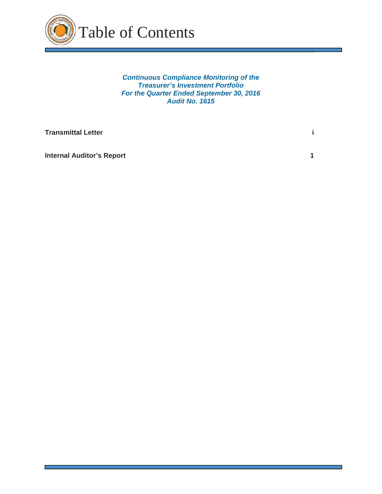

*Continuous Compliance Monitoring of the Treasurer's Investment Portfolio For the Quarter Ended September 30, 2016 Audit No. 1615* 

٦

| <b>Transmittal Letter</b> |  |
|---------------------------|--|
|                           |  |

**Internal Auditor's Report 1 1 <b>1**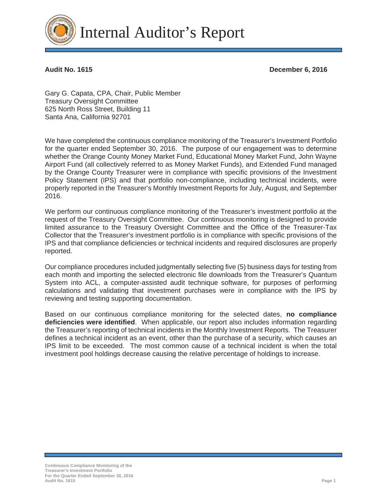

Internal Auditor's Report

**Audit No. 1615 December 6, 2016** 

Gary G. Capata, CPA, Chair, Public Member Treasury Oversight Committee 625 North Ross Street, Building 11 Santa Ana, California 92701

We have completed the continuous compliance monitoring of the Treasurer's Investment Portfolio for the quarter ended September 30, 2016. The purpose of our engagement was to determine whether the Orange County Money Market Fund, Educational Money Market Fund, John Wayne Airport Fund (all collectively referred to as Money Market Funds), and Extended Fund managed by the Orange County Treasurer were in compliance with specific provisions of the Investment Policy Statement (IPS) and that portfolio non-compliance, including technical incidents, were properly reported in the Treasurer's Monthly Investment Reports for July, August, and September 2016.

We perform our continuous compliance monitoring of the Treasurer's investment portfolio at the request of the Treasury Oversight Committee. Our continuous monitoring is designed to provide limited assurance to the Treasury Oversight Committee and the Office of the Treasurer-Tax Collector that the Treasurer's investment portfolio is in compliance with specific provisions of the IPS and that compliance deficiencies or technical incidents and required disclosures are properly reported.

Our compliance procedures included judgmentally selecting five (5) business days for testing from each month and importing the selected electronic file downloads from the Treasurer's Quantum System into ACL, a computer-assisted audit technique software, for purposes of performing calculations and validating that investment purchases were in compliance with the IPS by reviewing and testing supporting documentation.

Based on our continuous compliance monitoring for the selected dates, **no compliance deficiencies were identified**. When applicable, our report also includes information regarding the Treasurer's reporting of technical incidents in the Monthly Investment Reports. The Treasurer defines a technical incident as an event, other than the purchase of a security, which causes an IPS limit to be exceeded. The most common cause of a technical incident is when the total investment pool holdings decrease causing the relative percentage of holdings to increase.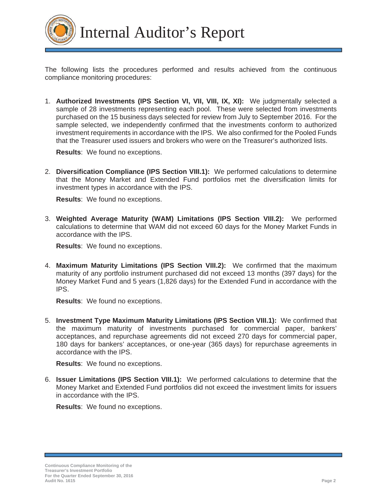

Internal Auditor's Report

The following lists the procedures performed and results achieved from the continuous compliance monitoring procedures:

1. **Authorized Investments (IPS Section VI, VII, VIII, IX, XI):** We judgmentally selected a sample of 28 investments representing each pool. These were selected from investments purchased on the 15 business days selected for review from July to September 2016. For the sample selected, we independently confirmed that the investments conform to authorized investment requirements in accordance with the IPS. We also confirmed for the Pooled Funds that the Treasurer used issuers and brokers who were on the Treasurer's authorized lists.

**Results**: We found no exceptions.

2. **Diversification Compliance (IPS Section VIII.1):** We performed calculations to determine that the Money Market and Extended Fund portfolios met the diversification limits for investment types in accordance with the IPS.

**Results**: We found no exceptions.

3. **Weighted Average Maturity (WAM) Limitations (IPS Section VIII.2):** We performed calculations to determine that WAM did not exceed 60 days for the Money Market Funds in accordance with the IPS.

**Results**: We found no exceptions.

4. **Maximum Maturity Limitations (IPS Section VIII.2):** We confirmed that the maximum maturity of any portfolio instrument purchased did not exceed 13 months (397 days) for the Money Market Fund and 5 years (1,826 days) for the Extended Fund in accordance with the IPS.

**Results**: We found no exceptions.

5. **Investment Type Maximum Maturity Limitations (IPS Section VIII.1):** We confirmed that the maximum maturity of investments purchased for commercial paper, bankers' acceptances, and repurchase agreements did not exceed 270 days for commercial paper, 180 days for bankers' acceptances, or one-year (365 days) for repurchase agreements in accordance with the IPS.

**Results**: We found no exceptions.

6. **Issuer Limitations (IPS Section VIII.1):** We performed calculations to determine that the Money Market and Extended Fund portfolios did not exceed the investment limits for issuers in accordance with the IPS.

**Results**: We found no exceptions.